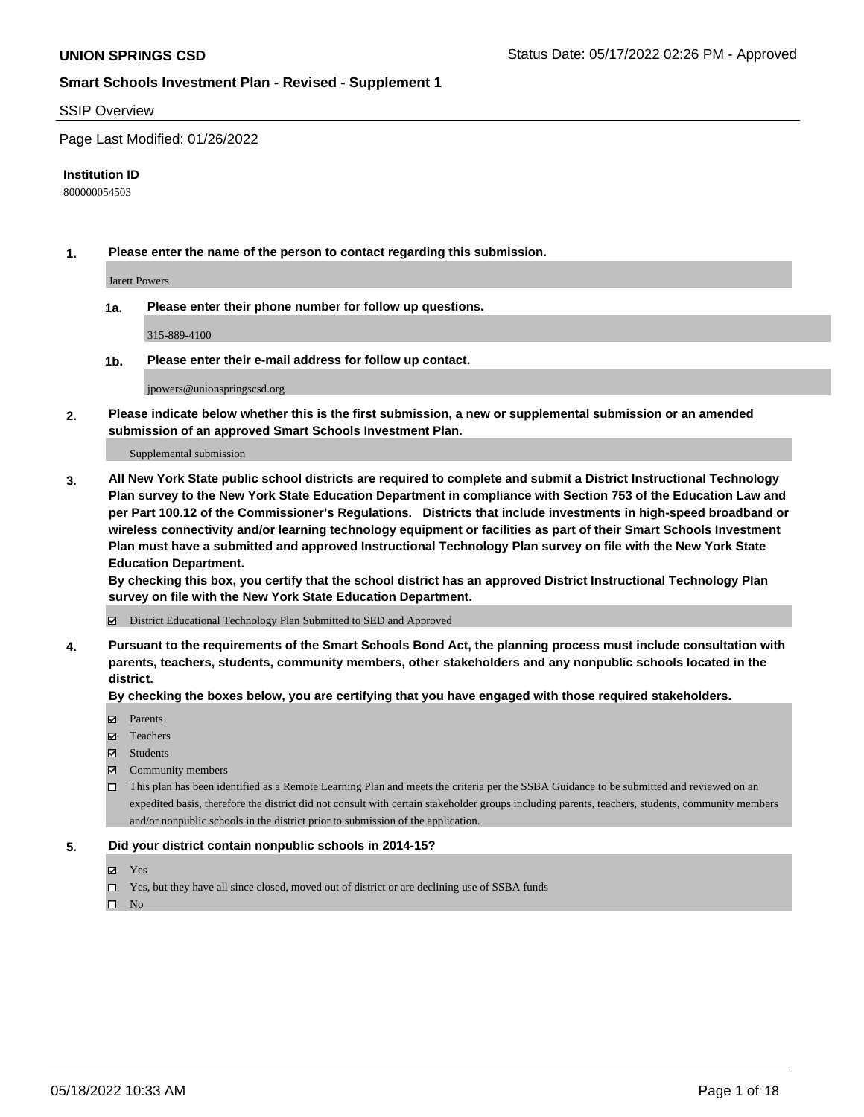#### SSIP Overview

Page Last Modified: 01/26/2022

#### **Institution ID**

800000054503

**1. Please enter the name of the person to contact regarding this submission.**

Jarett Powers

**1a. Please enter their phone number for follow up questions.**

315-889-4100

**1b. Please enter their e-mail address for follow up contact.**

jpowers@unionspringscsd.org

**2. Please indicate below whether this is the first submission, a new or supplemental submission or an amended submission of an approved Smart Schools Investment Plan.**

Supplemental submission

**3. All New York State public school districts are required to complete and submit a District Instructional Technology Plan survey to the New York State Education Department in compliance with Section 753 of the Education Law and per Part 100.12 of the Commissioner's Regulations. Districts that include investments in high-speed broadband or wireless connectivity and/or learning technology equipment or facilities as part of their Smart Schools Investment Plan must have a submitted and approved Instructional Technology Plan survey on file with the New York State Education Department.** 

**By checking this box, you certify that the school district has an approved District Instructional Technology Plan survey on file with the New York State Education Department.**

District Educational Technology Plan Submitted to SED and Approved

**4. Pursuant to the requirements of the Smart Schools Bond Act, the planning process must include consultation with parents, teachers, students, community members, other stakeholders and any nonpublic schools located in the district.** 

**By checking the boxes below, you are certifying that you have engaged with those required stakeholders.**

- **□** Parents
- Teachers
- Students
- $\Xi$  Community members
- This plan has been identified as a Remote Learning Plan and meets the criteria per the SSBA Guidance to be submitted and reviewed on an expedited basis, therefore the district did not consult with certain stakeholder groups including parents, teachers, students, community members and/or nonpublic schools in the district prior to submission of the application.

#### **5. Did your district contain nonpublic schools in 2014-15?**

- Yes
- $\Box$  Yes, but they have all since closed, moved out of district or are declining use of SSBA funds

 $\square$  No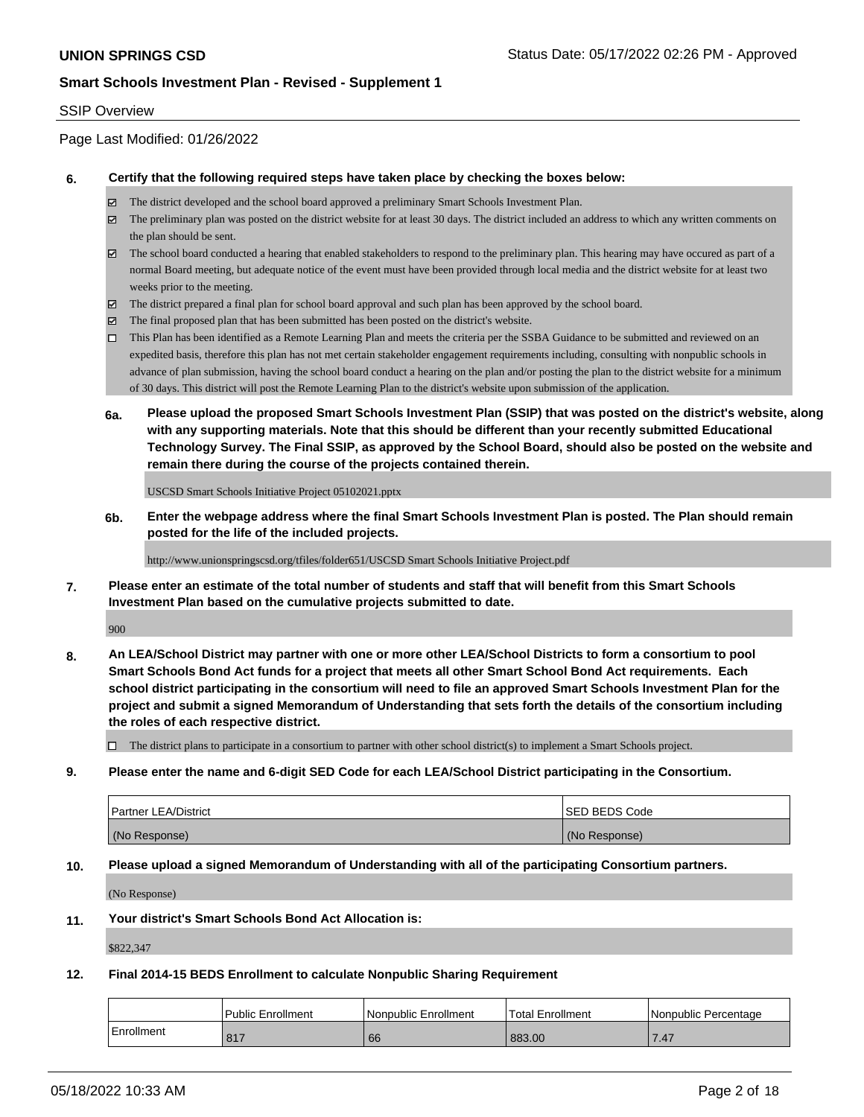#### SSIP Overview

Page Last Modified: 01/26/2022

#### **6. Certify that the following required steps have taken place by checking the boxes below:**

- The district developed and the school board approved a preliminary Smart Schools Investment Plan.
- $\boxtimes$  The preliminary plan was posted on the district website for at least 30 days. The district included an address to which any written comments on the plan should be sent.
- $\boxtimes$  The school board conducted a hearing that enabled stakeholders to respond to the preliminary plan. This hearing may have occured as part of a normal Board meeting, but adequate notice of the event must have been provided through local media and the district website for at least two weeks prior to the meeting.
- The district prepared a final plan for school board approval and such plan has been approved by the school board.
- $\boxtimes$  The final proposed plan that has been submitted has been posted on the district's website.
- This Plan has been identified as a Remote Learning Plan and meets the criteria per the SSBA Guidance to be submitted and reviewed on an expedited basis, therefore this plan has not met certain stakeholder engagement requirements including, consulting with nonpublic schools in advance of plan submission, having the school board conduct a hearing on the plan and/or posting the plan to the district website for a minimum of 30 days. This district will post the Remote Learning Plan to the district's website upon submission of the application.
- **6a. Please upload the proposed Smart Schools Investment Plan (SSIP) that was posted on the district's website, along with any supporting materials. Note that this should be different than your recently submitted Educational Technology Survey. The Final SSIP, as approved by the School Board, should also be posted on the website and remain there during the course of the projects contained therein.**

USCSD Smart Schools Initiative Project 05102021.pptx

**6b. Enter the webpage address where the final Smart Schools Investment Plan is posted. The Plan should remain posted for the life of the included projects.**

http://www.unionspringscsd.org/tfiles/folder651/USCSD Smart Schools Initiative Project.pdf

**7. Please enter an estimate of the total number of students and staff that will benefit from this Smart Schools Investment Plan based on the cumulative projects submitted to date.**

900

**8. An LEA/School District may partner with one or more other LEA/School Districts to form a consortium to pool Smart Schools Bond Act funds for a project that meets all other Smart School Bond Act requirements. Each school district participating in the consortium will need to file an approved Smart Schools Investment Plan for the project and submit a signed Memorandum of Understanding that sets forth the details of the consortium including the roles of each respective district.**

 $\Box$  The district plans to participate in a consortium to partner with other school district(s) to implement a Smart Schools project.

**9. Please enter the name and 6-digit SED Code for each LEA/School District participating in the Consortium.**

| <b>Partner LEA/District</b> | <b>ISED BEDS Code</b> |
|-----------------------------|-----------------------|
| (No Response)               | (No Response)         |

#### **10. Please upload a signed Memorandum of Understanding with all of the participating Consortium partners.**

(No Response)

#### **11. Your district's Smart Schools Bond Act Allocation is:**

\$822,347

#### **12. Final 2014-15 BEDS Enrollment to calculate Nonpublic Sharing Requirement**

|            | Public Enrollment     | l Nonpublic Enrollment | 'Total Enrollment | l Nonpublic Percentage |
|------------|-----------------------|------------------------|-------------------|------------------------|
| Enrollment | 047<br>O <sub>1</sub> | 66                     | 883.00            | 47:                    |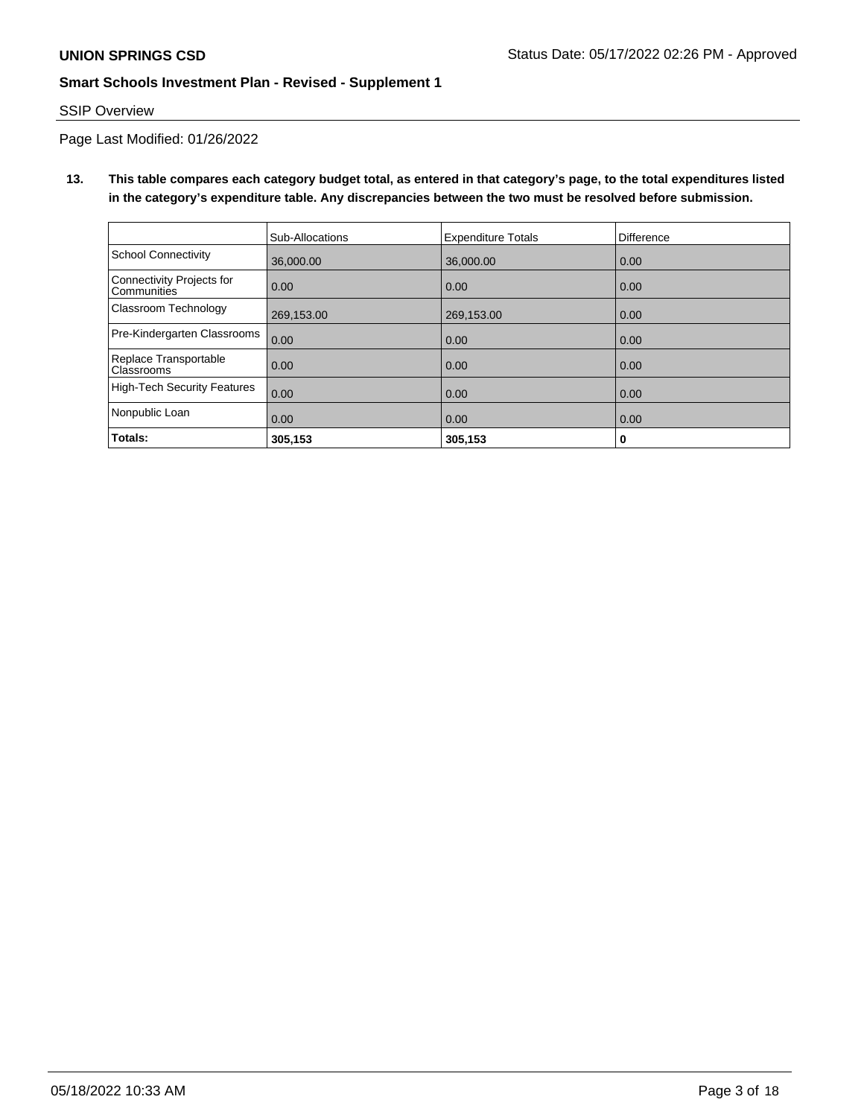# SSIP Overview

Page Last Modified: 01/26/2022

**13. This table compares each category budget total, as entered in that category's page, to the total expenditures listed in the category's expenditure table. Any discrepancies between the two must be resolved before submission.**

|                                                 | Sub-Allocations | <b>Expenditure Totals</b> | <b>Difference</b> |
|-------------------------------------------------|-----------------|---------------------------|-------------------|
| School Connectivity                             | 36,000,00       | 36,000.00                 | 0.00              |
| Connectivity Projects for<br><b>Communities</b> | 0.00            | 0.00                      | 0.00              |
| Classroom Technology                            | 269,153.00      | 269,153.00                | 0.00              |
| Pre-Kindergarten Classrooms                     | 0.00            | 0.00                      | 0.00              |
| Replace Transportable<br>Classrooms             | 0.00            | 0.00                      | 0.00              |
| High-Tech Security Features                     | 0.00            | 0.00                      | 0.00              |
| Nonpublic Loan                                  | 0.00            | 0.00                      | 0.00              |
| Totals:                                         | 305,153         | 305,153                   | 0                 |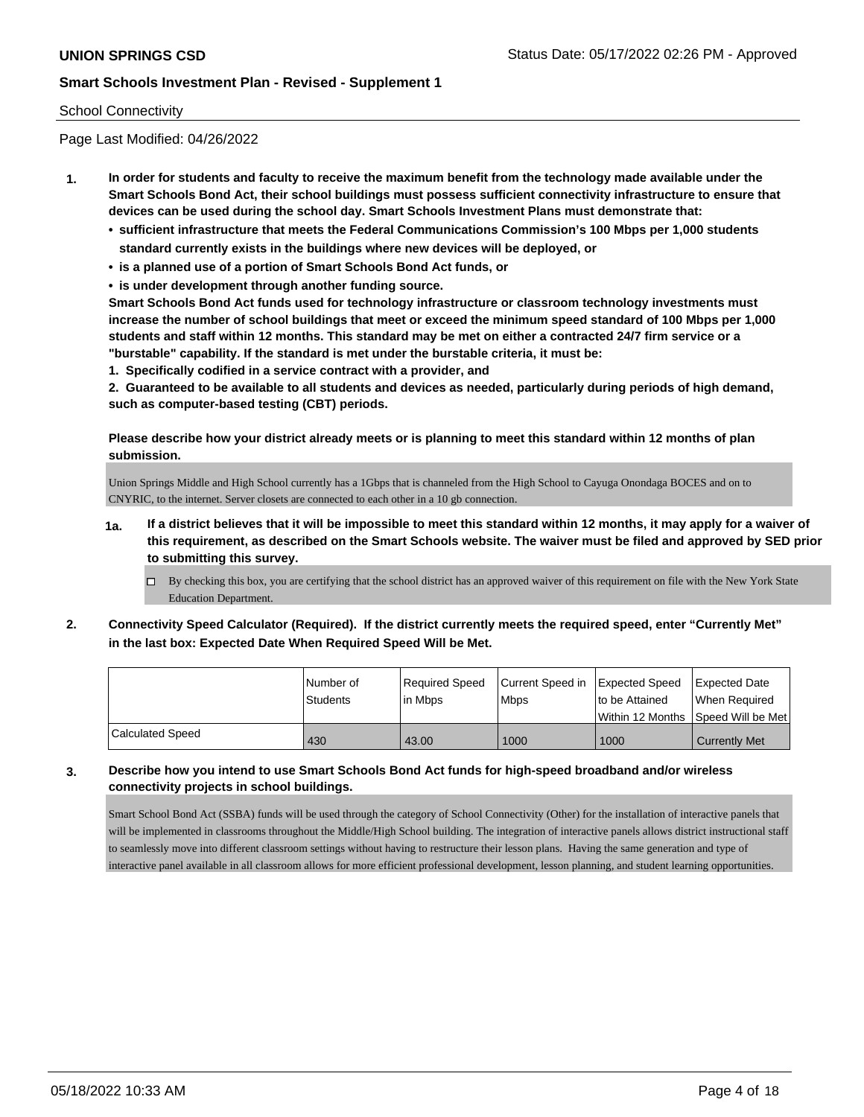## School Connectivity

Page Last Modified: 04/26/2022

- **1. In order for students and faculty to receive the maximum benefit from the technology made available under the Smart Schools Bond Act, their school buildings must possess sufficient connectivity infrastructure to ensure that devices can be used during the school day. Smart Schools Investment Plans must demonstrate that:**
	- **• sufficient infrastructure that meets the Federal Communications Commission's 100 Mbps per 1,000 students standard currently exists in the buildings where new devices will be deployed, or**
	- **• is a planned use of a portion of Smart Schools Bond Act funds, or**
	- **• is under development through another funding source.**

**Smart Schools Bond Act funds used for technology infrastructure or classroom technology investments must increase the number of school buildings that meet or exceed the minimum speed standard of 100 Mbps per 1,000 students and staff within 12 months. This standard may be met on either a contracted 24/7 firm service or a "burstable" capability. If the standard is met under the burstable criteria, it must be:**

**1. Specifically codified in a service contract with a provider, and**

**2. Guaranteed to be available to all students and devices as needed, particularly during periods of high demand, such as computer-based testing (CBT) periods.**

**Please describe how your district already meets or is planning to meet this standard within 12 months of plan submission.**

Union Springs Middle and High School currently has a 1Gbps that is channeled from the High School to Cayuga Onondaga BOCES and on to CNYRIC, to the internet. Server closets are connected to each other in a 10 gb connection.

- **1a. If a district believes that it will be impossible to meet this standard within 12 months, it may apply for a waiver of this requirement, as described on the Smart Schools website. The waiver must be filed and approved by SED prior to submitting this survey.**
	- By checking this box, you are certifying that the school district has an approved waiver of this requirement on file with the New York State Education Department.
- **2. Connectivity Speed Calculator (Required). If the district currently meets the required speed, enter "Currently Met" in the last box: Expected Date When Required Speed Will be Met.**

|                  | l Number of<br><b>Students</b> | Required Speed<br>lin Mbps | Current Speed in Expected Speed<br><b>Mbps</b> | to be Attained | Expected Date<br>When Required<br>Within 12 Months ISpeed Will be Met |
|------------------|--------------------------------|----------------------------|------------------------------------------------|----------------|-----------------------------------------------------------------------|
| Calculated Speed | 430                            | 43.00                      | 1000                                           | 1000           | <b>Currently Met</b>                                                  |

**3. Describe how you intend to use Smart Schools Bond Act funds for high-speed broadband and/or wireless connectivity projects in school buildings.**

Smart School Bond Act (SSBA) funds will be used through the category of School Connectivity (Other) for the installation of interactive panels that will be implemented in classrooms throughout the Middle/High School building. The integration of interactive panels allows district instructional staff to seamlessly move into different classroom settings without having to restructure their lesson plans. Having the same generation and type of interactive panel available in all classroom allows for more efficient professional development, lesson planning, and student learning opportunities.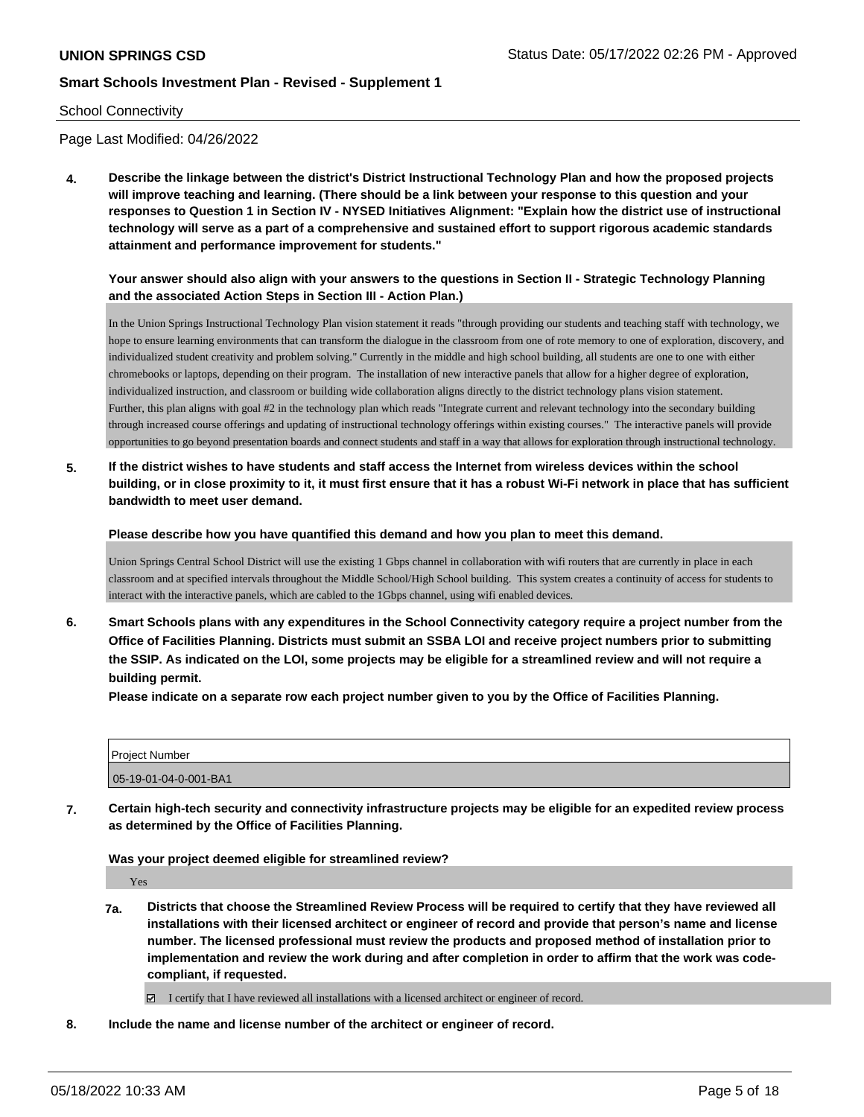## School Connectivity

Page Last Modified: 04/26/2022

**4. Describe the linkage between the district's District Instructional Technology Plan and how the proposed projects will improve teaching and learning. (There should be a link between your response to this question and your responses to Question 1 in Section IV - NYSED Initiatives Alignment: "Explain how the district use of instructional technology will serve as a part of a comprehensive and sustained effort to support rigorous academic standards attainment and performance improvement for students."** 

## **Your answer should also align with your answers to the questions in Section II - Strategic Technology Planning and the associated Action Steps in Section III - Action Plan.)**

In the Union Springs Instructional Technology Plan vision statement it reads "through providing our students and teaching staff with technology, we hope to ensure learning environments that can transform the dialogue in the classroom from one of rote memory to one of exploration, discovery, and individualized student creativity and problem solving." Currently in the middle and high school building, all students are one to one with either chromebooks or laptops, depending on their program. The installation of new interactive panels that allow for a higher degree of exploration, individualized instruction, and classroom or building wide collaboration aligns directly to the district technology plans vision statement. Further, this plan aligns with goal #2 in the technology plan which reads "Integrate current and relevant technology into the secondary building through increased course offerings and updating of instructional technology offerings within existing courses." The interactive panels will provide opportunities to go beyond presentation boards and connect students and staff in a way that allows for exploration through instructional technology.

**5. If the district wishes to have students and staff access the Internet from wireless devices within the school building, or in close proximity to it, it must first ensure that it has a robust Wi-Fi network in place that has sufficient bandwidth to meet user demand.**

**Please describe how you have quantified this demand and how you plan to meet this demand.**

Union Springs Central School District will use the existing 1 Gbps channel in collaboration with wifi routers that are currently in place in each classroom and at specified intervals throughout the Middle School/High School building. This system creates a continuity of access for students to interact with the interactive panels, which are cabled to the 1Gbps channel, using wifi enabled devices.

**6. Smart Schools plans with any expenditures in the School Connectivity category require a project number from the Office of Facilities Planning. Districts must submit an SSBA LOI and receive project numbers prior to submitting the SSIP. As indicated on the LOI, some projects may be eligible for a streamlined review and will not require a building permit.**

**Please indicate on a separate row each project number given to you by the Office of Facilities Planning.**

| l Proiect Number      |  |
|-----------------------|--|
| 05-19-01-04-0-001-BA1 |  |

**7. Certain high-tech security and connectivity infrastructure projects may be eligible for an expedited review process as determined by the Office of Facilities Planning.**

**Was your project deemed eligible for streamlined review?**

Yes

**7a. Districts that choose the Streamlined Review Process will be required to certify that they have reviewed all installations with their licensed architect or engineer of record and provide that person's name and license number. The licensed professional must review the products and proposed method of installation prior to implementation and review the work during and after completion in order to affirm that the work was codecompliant, if requested.**

I certify that I have reviewed all installations with a licensed architect or engineer of record.

**8. Include the name and license number of the architect or engineer of record.**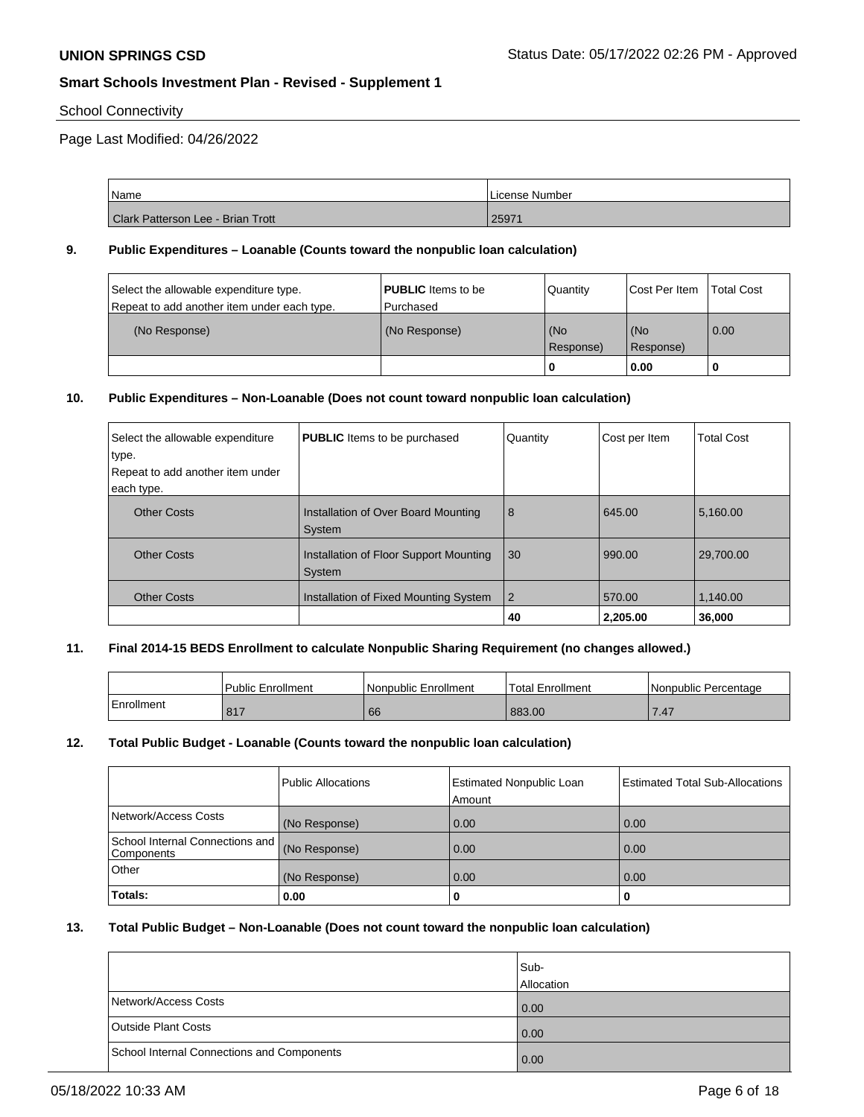## School Connectivity

Page Last Modified: 04/26/2022

| Name                              | License Number |
|-----------------------------------|----------------|
| Clark Patterson Lee - Brian Trott | 2597'          |

## **9. Public Expenditures – Loanable (Counts toward the nonpublic loan calculation)**

| Select the allowable expenditure type.<br>Repeat to add another item under each type. | <b>PUBLIC</b> Items to be<br>Purchased | Quantity       | Cost Per Item     | <b>Total Cost</b> |
|---------------------------------------------------------------------------------------|----------------------------------------|----------------|-------------------|-------------------|
| (No Response)                                                                         | (No Response)                          | (No            | (No               | $\overline{0.00}$ |
|                                                                                       |                                        | Response)<br>0 | Response)<br>0.00 |                   |

#### **10. Public Expenditures – Non-Loanable (Does not count toward nonpublic loan calculation)**

| Select the allowable expenditure<br>type.<br>Repeat to add another item under<br>each type. | <b>PUBLIC</b> Items to be purchased                     | Quantity       | Cost per Item | <b>Total Cost</b> |
|---------------------------------------------------------------------------------------------|---------------------------------------------------------|----------------|---------------|-------------------|
| <b>Other Costs</b>                                                                          | Installation of Over Board Mounting<br>System           | 8              | 645.00        | 5,160.00          |
| <b>Other Costs</b>                                                                          | Installation of Floor Support Mounting<br><b>System</b> | 30             | 990.00        | 29,700.00         |
| <b>Other Costs</b>                                                                          | Installation of Fixed Mounting System                   | $\overline{2}$ | 570.00        | 1,140.00          |
|                                                                                             |                                                         | 40             | 2,205.00      | 36,000            |

## **11. Final 2014-15 BEDS Enrollment to calculate Nonpublic Sharing Requirement (no changes allowed.)**

|            | <b>Public Enrollment</b> | Nonpublic Enrollment | Total Enrollment | l Nonpublic Percentage |
|------------|--------------------------|----------------------|------------------|------------------------|
| Enrollment | 047<br>$\circ$ .         | 66                   | 883.00           |                        |

## **12. Total Public Budget - Loanable (Counts toward the nonpublic loan calculation)**

|                                                 | <b>Public Allocations</b> | <b>Estimated Nonpublic Loan</b><br>Amount | <b>Estimated Total Sub-Allocations</b> |
|-------------------------------------------------|---------------------------|-------------------------------------------|----------------------------------------|
| Network/Access Costs                            | (No Response)             | 0.00                                      | 0.00                                   |
| School Internal Connections and  <br>Components | (No Response)             | 0.00                                      | 0.00                                   |
| Other                                           | (No Response)             | 0.00                                      | 0.00                                   |
| Totals:                                         | 0.00                      | o                                         | 0                                      |

## **13. Total Public Budget – Non-Loanable (Does not count toward the nonpublic loan calculation)**

|                                            | Sub-<br>Allocation |
|--------------------------------------------|--------------------|
| Network/Access Costs                       | 0.00               |
| <b>Outside Plant Costs</b>                 | 0.00               |
| School Internal Connections and Components | 0.00               |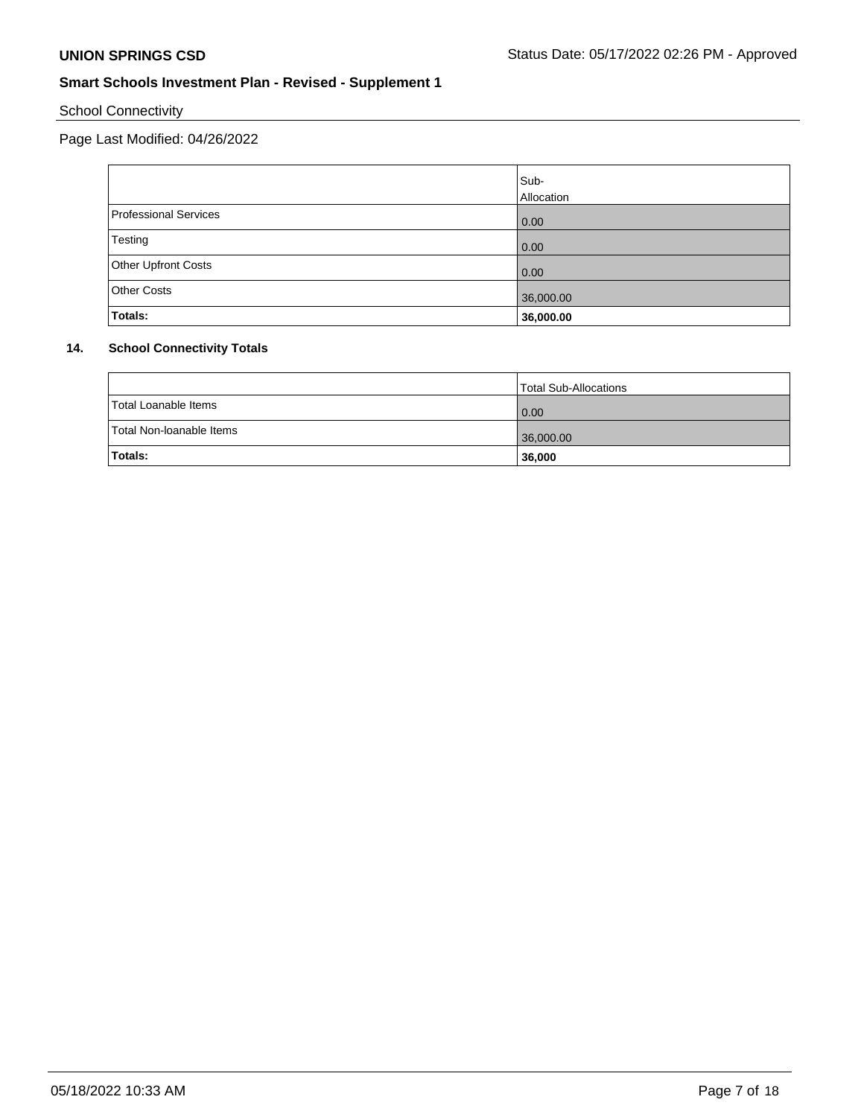School Connectivity

Page Last Modified: 04/26/2022

|                       | Sub-       |
|-----------------------|------------|
|                       | Allocation |
| Professional Services | 0.00       |
| Testing               | 0.00       |
| Other Upfront Costs   | 0.00       |
| Other Costs           | 36,000.00  |
| Totals:               | 36,000.00  |

# **14. School Connectivity Totals**

|                          | Total Sub-Allocations |
|--------------------------|-----------------------|
| Total Loanable Items     | 0.00                  |
| Total Non-Ioanable Items | 36,000.00             |
| <b>Totals:</b>           | 36,000                |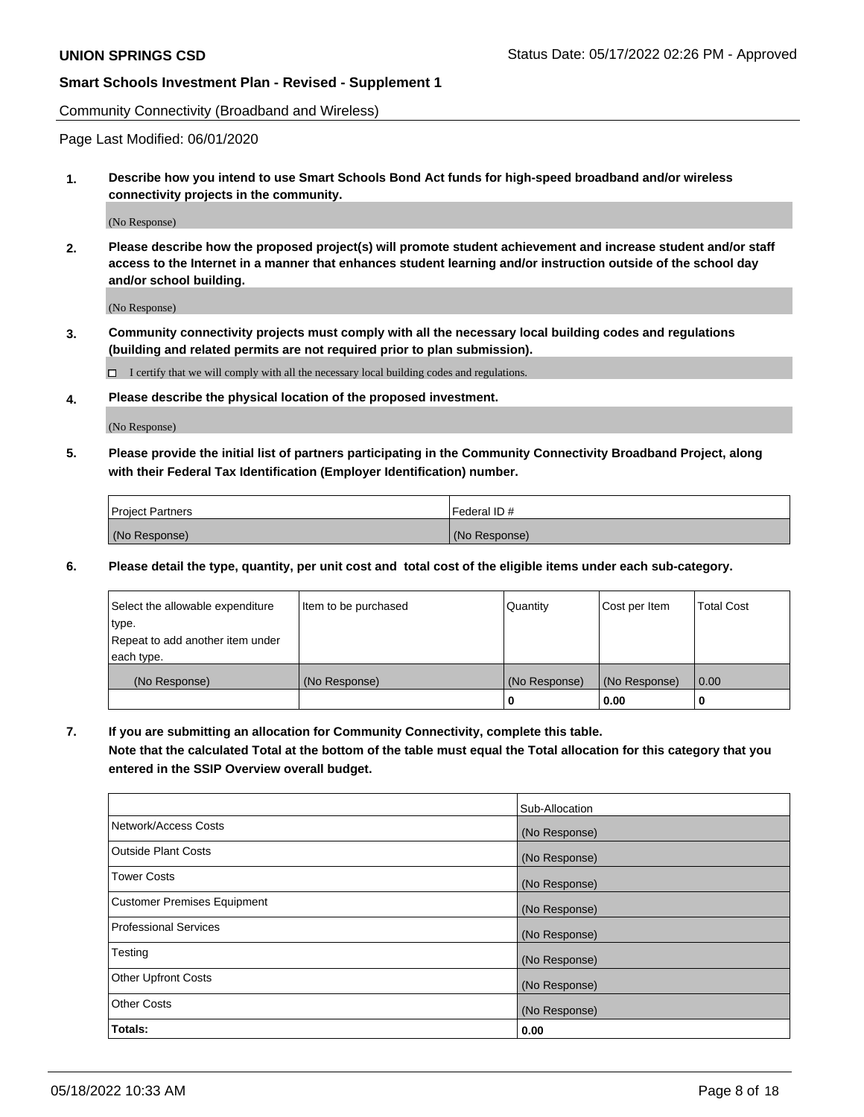Community Connectivity (Broadband and Wireless)

Page Last Modified: 06/01/2020

**1. Describe how you intend to use Smart Schools Bond Act funds for high-speed broadband and/or wireless connectivity projects in the community.**

(No Response)

**2. Please describe how the proposed project(s) will promote student achievement and increase student and/or staff access to the Internet in a manner that enhances student learning and/or instruction outside of the school day and/or school building.**

(No Response)

**3. Community connectivity projects must comply with all the necessary local building codes and regulations (building and related permits are not required prior to plan submission).**

 $\Box$  I certify that we will comply with all the necessary local building codes and regulations.

**4. Please describe the physical location of the proposed investment.**

(No Response)

**5. Please provide the initial list of partners participating in the Community Connectivity Broadband Project, along with their Federal Tax Identification (Employer Identification) number.**

| <b>Project Partners</b> | Federal ID#   |
|-------------------------|---------------|
| (No Response)           | (No Response) |

**6. Please detail the type, quantity, per unit cost and total cost of the eligible items under each sub-category.**

| Select the allowable expenditure | Item to be purchased | Quantity      | Cost per Item | <b>Total Cost</b> |
|----------------------------------|----------------------|---------------|---------------|-------------------|
| type.                            |                      |               |               |                   |
| Repeat to add another item under |                      |               |               |                   |
| each type.                       |                      |               |               |                   |
| (No Response)                    | (No Response)        | (No Response) | (No Response) | 0.00              |
|                                  |                      | 0             | 0.00          |                   |

**7. If you are submitting an allocation for Community Connectivity, complete this table.**

**Note that the calculated Total at the bottom of the table must equal the Total allocation for this category that you entered in the SSIP Overview overall budget.**

|                                    | Sub-Allocation |
|------------------------------------|----------------|
| Network/Access Costs               | (No Response)  |
| Outside Plant Costs                | (No Response)  |
| <b>Tower Costs</b>                 | (No Response)  |
| <b>Customer Premises Equipment</b> | (No Response)  |
| Professional Services              | (No Response)  |
| Testing                            | (No Response)  |
| <b>Other Upfront Costs</b>         | (No Response)  |
| <b>Other Costs</b>                 | (No Response)  |
| Totals:                            | 0.00           |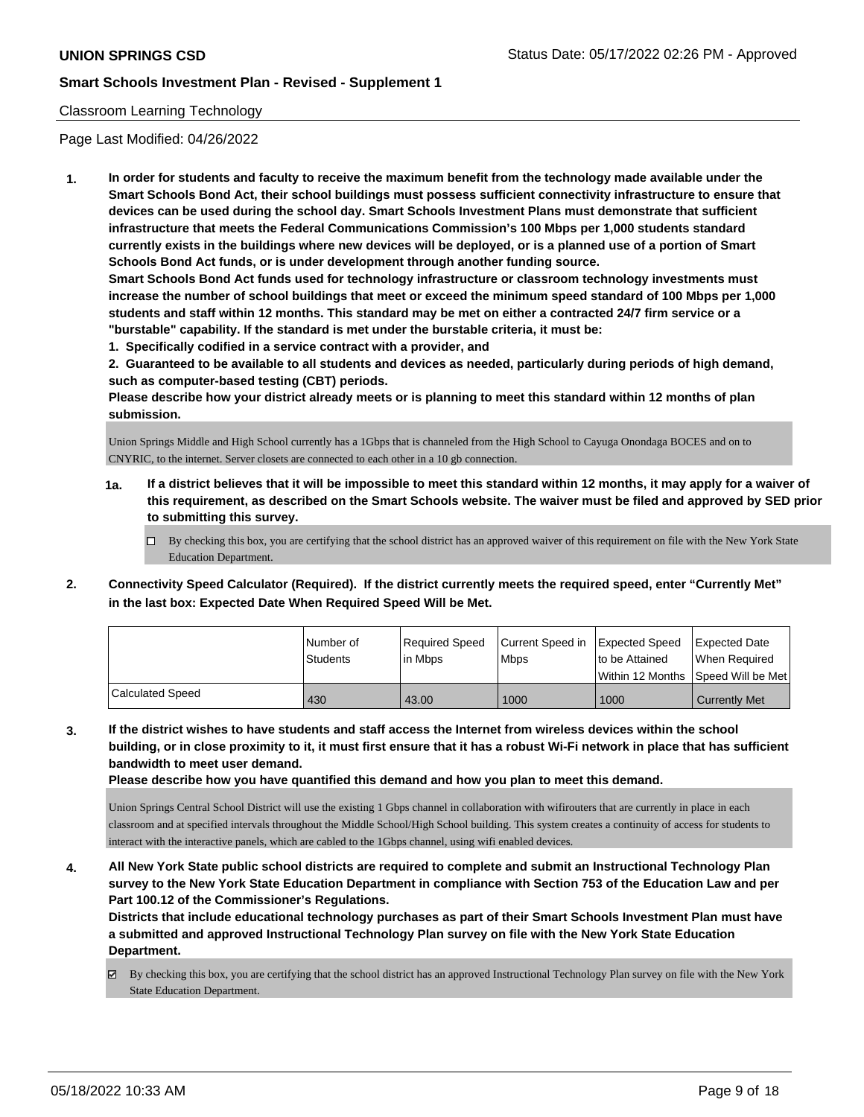## Classroom Learning Technology

Page Last Modified: 04/26/2022

**1. In order for students and faculty to receive the maximum benefit from the technology made available under the Smart Schools Bond Act, their school buildings must possess sufficient connectivity infrastructure to ensure that devices can be used during the school day. Smart Schools Investment Plans must demonstrate that sufficient infrastructure that meets the Federal Communications Commission's 100 Mbps per 1,000 students standard currently exists in the buildings where new devices will be deployed, or is a planned use of a portion of Smart Schools Bond Act funds, or is under development through another funding source.**

**Smart Schools Bond Act funds used for technology infrastructure or classroom technology investments must increase the number of school buildings that meet or exceed the minimum speed standard of 100 Mbps per 1,000 students and staff within 12 months. This standard may be met on either a contracted 24/7 firm service or a "burstable" capability. If the standard is met under the burstable criteria, it must be:**

**1. Specifically codified in a service contract with a provider, and**

**2. Guaranteed to be available to all students and devices as needed, particularly during periods of high demand, such as computer-based testing (CBT) periods.**

**Please describe how your district already meets or is planning to meet this standard within 12 months of plan submission.**

Union Springs Middle and High School currently has a 1Gbps that is channeled from the High School to Cayuga Onondaga BOCES and on to CNYRIC, to the internet. Server closets are connected to each other in a 10 gb connection.

- **1a. If a district believes that it will be impossible to meet this standard within 12 months, it may apply for a waiver of this requirement, as described on the Smart Schools website. The waiver must be filed and approved by SED prior to submitting this survey.**
	- By checking this box, you are certifying that the school district has an approved waiver of this requirement on file with the New York State Education Department.
- **2. Connectivity Speed Calculator (Required). If the district currently meets the required speed, enter "Currently Met" in the last box: Expected Date When Required Speed Will be Met.**

|                  | l Number of     | Reauired Speed | Current Speed in Expected Speed |                | <b>Expected Date</b>                |
|------------------|-----------------|----------------|---------------------------------|----------------|-------------------------------------|
|                  | <b>Students</b> | l in Mbps      | <b>Mbps</b>                     | to be Attained | When Required                       |
|                  |                 |                |                                 |                | Within 12 Months ISpeed Will be Met |
| Calculated Speed | 430             | 43.00          | 1000                            | 1000           | <b>Currently Met</b>                |

**3. If the district wishes to have students and staff access the Internet from wireless devices within the school building, or in close proximity to it, it must first ensure that it has a robust Wi-Fi network in place that has sufficient bandwidth to meet user demand.**

**Please describe how you have quantified this demand and how you plan to meet this demand.**

Union Springs Central School District will use the existing 1 Gbps channel in collaboration with wifirouters that are currently in place in each classroom and at specified intervals throughout the Middle School/High School building. This system creates a continuity of access for students to interact with the interactive panels, which are cabled to the 1Gbps channel, using wifi enabled devices.

**4. All New York State public school districts are required to complete and submit an Instructional Technology Plan survey to the New York State Education Department in compliance with Section 753 of the Education Law and per Part 100.12 of the Commissioner's Regulations.**

**Districts that include educational technology purchases as part of their Smart Schools Investment Plan must have a submitted and approved Instructional Technology Plan survey on file with the New York State Education Department.**

By checking this box, you are certifying that the school district has an approved Instructional Technology Plan survey on file with the New York State Education Department.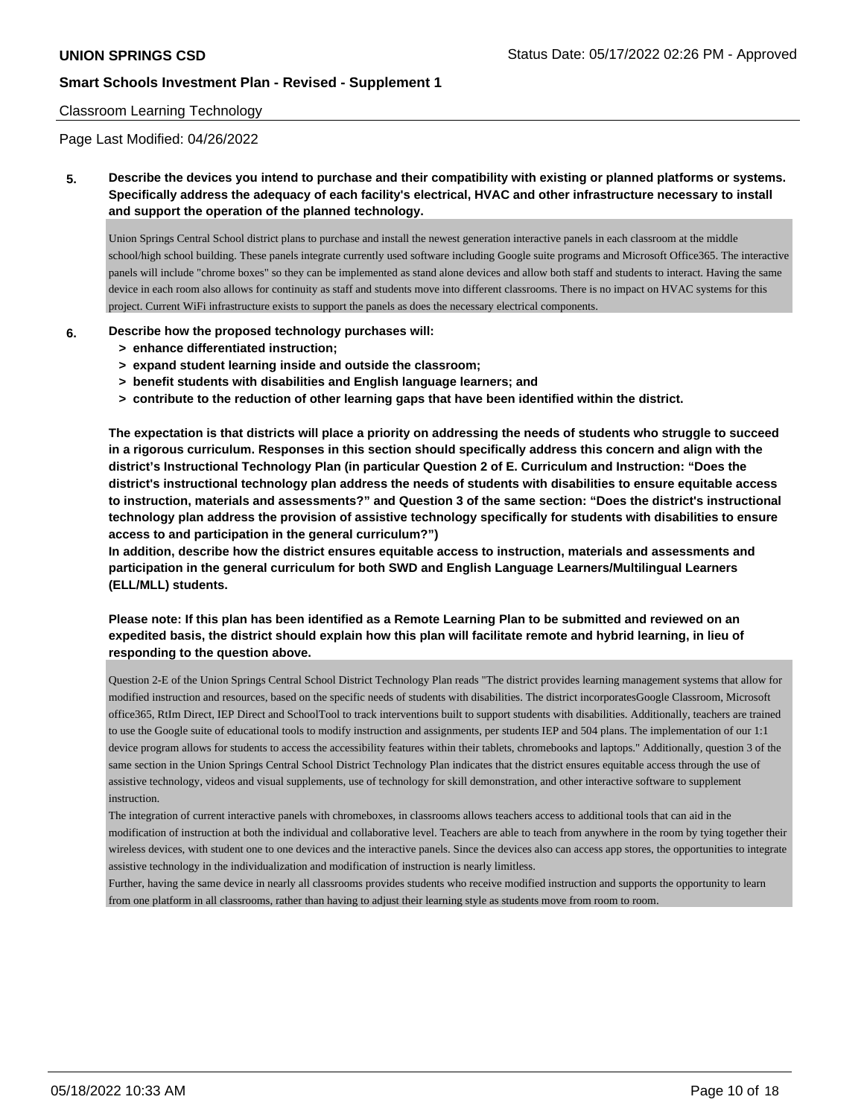## Classroom Learning Technology

Page Last Modified: 04/26/2022

**5. Describe the devices you intend to purchase and their compatibility with existing or planned platforms or systems. Specifically address the adequacy of each facility's electrical, HVAC and other infrastructure necessary to install and support the operation of the planned technology.**

Union Springs Central School district plans to purchase and install the newest generation interactive panels in each classroom at the middle school/high school building. These panels integrate currently used software including Google suite programs and Microsoft Office365. The interactive panels will include "chrome boxes" so they can be implemented as stand alone devices and allow both staff and students to interact. Having the same device in each room also allows for continuity as staff and students move into different classrooms. There is no impact on HVAC systems for this project. Current WiFi infrastructure exists to support the panels as does the necessary electrical components.

- **6. Describe how the proposed technology purchases will:**
	- **> enhance differentiated instruction;**
	- **> expand student learning inside and outside the classroom;**
	- **> benefit students with disabilities and English language learners; and**
	- **> contribute to the reduction of other learning gaps that have been identified within the district.**

**The expectation is that districts will place a priority on addressing the needs of students who struggle to succeed in a rigorous curriculum. Responses in this section should specifically address this concern and align with the district's Instructional Technology Plan (in particular Question 2 of E. Curriculum and Instruction: "Does the district's instructional technology plan address the needs of students with disabilities to ensure equitable access to instruction, materials and assessments?" and Question 3 of the same section: "Does the district's instructional technology plan address the provision of assistive technology specifically for students with disabilities to ensure access to and participation in the general curriculum?")**

**In addition, describe how the district ensures equitable access to instruction, materials and assessments and participation in the general curriculum for both SWD and English Language Learners/Multilingual Learners (ELL/MLL) students.**

**Please note: If this plan has been identified as a Remote Learning Plan to be submitted and reviewed on an expedited basis, the district should explain how this plan will facilitate remote and hybrid learning, in lieu of responding to the question above.**

Question 2-E of the Union Springs Central School District Technology Plan reads "The district provides learning management systems that allow for modified instruction and resources, based on the specific needs of students with disabilities. The district incorporatesGoogle Classroom, Microsoft office365, RtIm Direct, IEP Direct and SchoolTool to track interventions built to support students with disabilities. Additionally, teachers are trained to use the Google suite of educational tools to modify instruction and assignments, per students IEP and 504 plans. The implementation of our 1:1 device program allows for students to access the accessibility features within their tablets, chromebooks and laptops." Additionally, question 3 of the same section in the Union Springs Central School District Technology Plan indicates that the district ensures equitable access through the use of assistive technology, videos and visual supplements, use of technology for skill demonstration, and other interactive software to supplement instruction.

The integration of current interactive panels with chromeboxes, in classrooms allows teachers access to additional tools that can aid in the modification of instruction at both the individual and collaborative level. Teachers are able to teach from anywhere in the room by tying together their wireless devices, with student one to one devices and the interactive panels. Since the devices also can access app stores, the opportunities to integrate assistive technology in the individualization and modification of instruction is nearly limitless.

Further, having the same device in nearly all classrooms provides students who receive modified instruction and supports the opportunity to learn from one platform in all classrooms, rather than having to adjust their learning style as students move from room to room.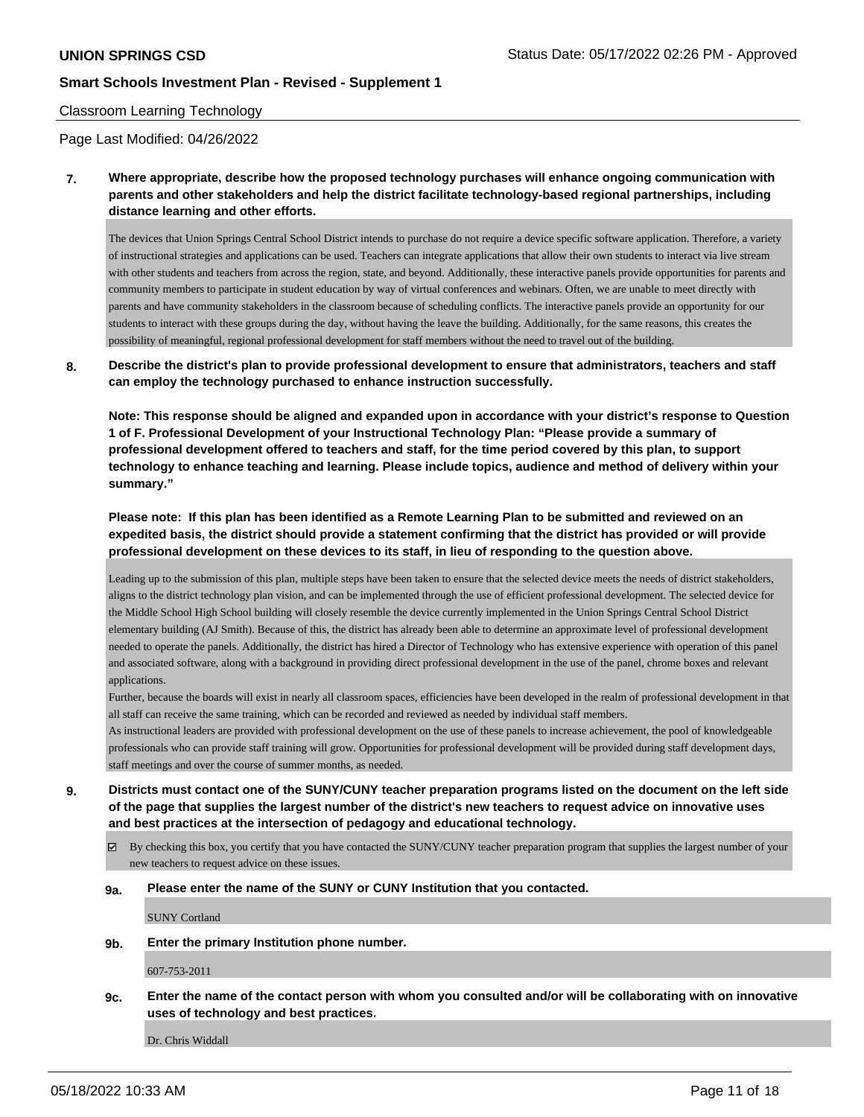## Classroom Learning Technology

Page Last Modified: 04/26/2022

**7. Where appropriate, describe how the proposed technology purchases will enhance ongoing communication with parents and other stakeholders and help the district facilitate technology-based regional partnerships, including distance learning and other efforts.**

The devices that Union Springs Central School District intends to purchase do not require a device specific software application. Therefore, a variety of instructional strategies and applications can be used. Teachers can integrate applications that allow their own students to interact via live stream with other students and teachers from across the region, state, and beyond. Additionally, these interactive panels provide opportunities for parents and community members to participate in student education by way of virtual conferences and webinars. Often, we are unable to meet directly with parents and have community stakeholders in the classroom because of scheduling conflicts. The interactive panels provide an opportunity for our students to interact with these groups during the day, without having the leave the building. Additionally, for the same reasons, this creates the possibility of meaningful, regional professional development for staff members without the need to travel out of the building.

## **8. Describe the district's plan to provide professional development to ensure that administrators, teachers and staff can employ the technology purchased to enhance instruction successfully.**

**Note: This response should be aligned and expanded upon in accordance with your district's response to Question 1 of F. Professional Development of your Instructional Technology Plan: "Please provide a summary of professional development offered to teachers and staff, for the time period covered by this plan, to support technology to enhance teaching and learning. Please include topics, audience and method of delivery within your summary."**

**Please note: If this plan has been identified as a Remote Learning Plan to be submitted and reviewed on an expedited basis, the district should provide a statement confirming that the district has provided or will provide professional development on these devices to its staff, in lieu of responding to the question above.**

Leading up to the submission of this plan, multiple steps have been taken to ensure that the selected device meets the needs of district stakeholders, aligns to the district technology plan vision, and can be implemented through the use of efficient professional development. The selected device for the Middle School High School building will closely resemble the device currently implemented in the Union Springs Central School District elementary building (AJ Smith). Because of this, the district has already been able to determine an approximate level of professional development needed to operate the panels. Additionally, the district has hired a Director of Technology who has extensive experience with operation of this panel and associated software, along with a background in providing direct professional development in the use of the panel, chrome boxes and relevant applications.

Further, because the boards will exist in nearly all classroom spaces, efficiencies have been developed in the realm of professional development in that all staff can receive the same training, which can be recorded and reviewed as needed by individual staff members.

As instructional leaders are provided with professional development on the use of these panels to increase achievement, the pool of knowledgeable professionals who can provide staff training will grow. Opportunities for professional development will be provided during staff development days, staff meetings and over the course of summer months, as needed.

**9. Districts must contact one of the SUNY/CUNY teacher preparation programs listed on the document on the left side of the page that supplies the largest number of the district's new teachers to request advice on innovative uses and best practices at the intersection of pedagogy and educational technology.**

By checking this box, you certify that you have contacted the SUNY/CUNY teacher preparation program that supplies the largest number of your new teachers to request advice on these issues.

#### **9a. Please enter the name of the SUNY or CUNY Institution that you contacted.**

SUNY Cortland

#### **9b. Enter the primary Institution phone number.**

607-753-2011

**9c. Enter the name of the contact person with whom you consulted and/or will be collaborating with on innovative uses of technology and best practices.**

Dr. Chris Widdall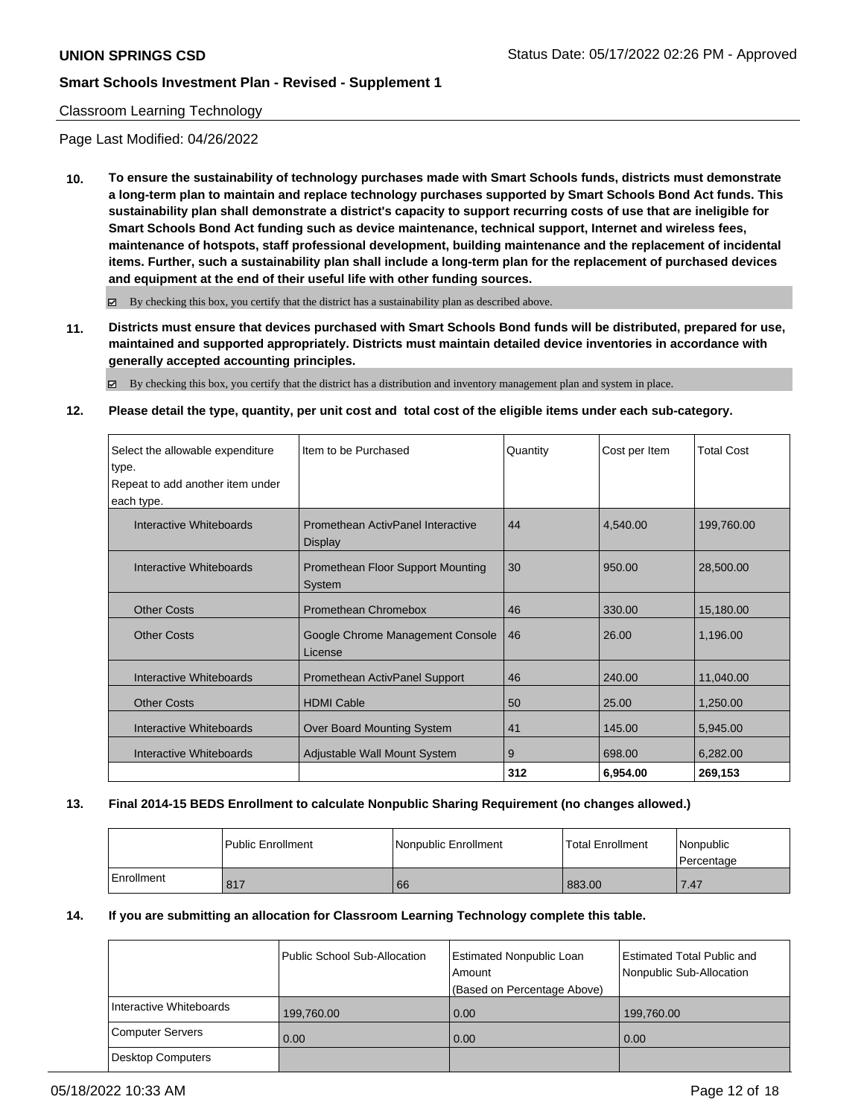## Classroom Learning Technology

Page Last Modified: 04/26/2022

**10. To ensure the sustainability of technology purchases made with Smart Schools funds, districts must demonstrate a long-term plan to maintain and replace technology purchases supported by Smart Schools Bond Act funds. This sustainability plan shall demonstrate a district's capacity to support recurring costs of use that are ineligible for Smart Schools Bond Act funding such as device maintenance, technical support, Internet and wireless fees, maintenance of hotspots, staff professional development, building maintenance and the replacement of incidental items. Further, such a sustainability plan shall include a long-term plan for the replacement of purchased devices and equipment at the end of their useful life with other funding sources.**

 $\boxtimes$  By checking this box, you certify that the district has a sustainability plan as described above.

**11. Districts must ensure that devices purchased with Smart Schools Bond funds will be distributed, prepared for use, maintained and supported appropriately. Districts must maintain detailed device inventories in accordance with generally accepted accounting principles.**

By checking this box, you certify that the district has a distribution and inventory management plan and system in place.

## **12. Please detail the type, quantity, per unit cost and total cost of the eligible items under each sub-category.**

| Select the allowable expenditure | Item to be Purchased                                | Quantity | Cost per Item | <b>Total Cost</b> |
|----------------------------------|-----------------------------------------------------|----------|---------------|-------------------|
| type.                            |                                                     |          |               |                   |
| Repeat to add another item under |                                                     |          |               |                   |
| each type.                       |                                                     |          |               |                   |
| Interactive Whiteboards          | Promethean ActivPanel Interactive<br><b>Display</b> | 44       | 4,540.00      | 199,760.00        |
| Interactive Whiteboards          | Promethean Floor Support Mounting<br>System         | 30       | 950.00        | 28,500.00         |
| <b>Other Costs</b>               | Promethean Chromebox                                | 46       | 330.00        | 15,180.00         |
| <b>Other Costs</b>               | Google Chrome Management Console<br>License         | 46       | 26.00         | 1,196.00          |
| Interactive Whiteboards          | Promethean ActivPanel Support                       | 46       | 240.00        | 11,040.00         |
| <b>Other Costs</b>               | <b>HDMI Cable</b>                                   | 50       | 25.00         | 1,250.00          |
| Interactive Whiteboards          | Over Board Mounting System                          | 41       | 145.00        | 5,945.00          |
| Interactive Whiteboards          | Adjustable Wall Mount System                        | 9        | 698.00        | 6,282.00          |
|                                  |                                                     | 312      | 6,954.00      | 269,153           |

#### **13. Final 2014-15 BEDS Enrollment to calculate Nonpublic Sharing Requirement (no changes allowed.)**

|            | l Public Enrollment | Nonpublic Enrollment | <b>Total Enrollment</b> | Nonpublic<br>Percentage |
|------------|---------------------|----------------------|-------------------------|-------------------------|
| Enrollment | 817                 | 66                   | 883.00                  | 7.47                    |

#### **14. If you are submitting an allocation for Classroom Learning Technology complete this table.**

|                          | Public School Sub-Allocation | Estimated Nonpublic Loan<br>Amount<br>(Based on Percentage Above) | <b>Estimated Total Public and</b><br>Nonpublic Sub-Allocation |
|--------------------------|------------------------------|-------------------------------------------------------------------|---------------------------------------------------------------|
| Interactive Whiteboards  | 199,760.00                   | 0.00                                                              | 199,760.00                                                    |
| <b>Computer Servers</b>  | 0.00                         | 0.00                                                              | 0.00                                                          |
| <b>Desktop Computers</b> |                              |                                                                   |                                                               |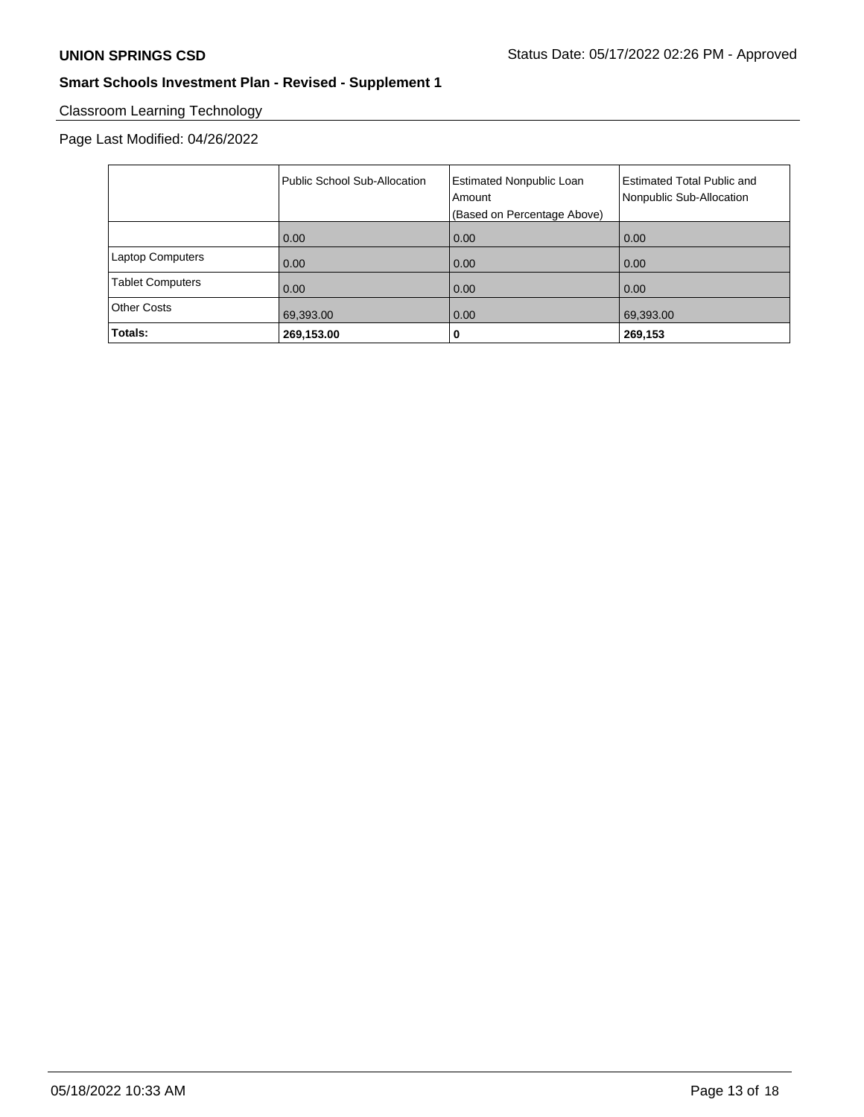# Classroom Learning Technology

# Page Last Modified: 04/26/2022

|                         | <b>Public School Sub-Allocation</b> | <b>Estimated Nonpublic Loan</b><br>Amount<br>(Based on Percentage Above) | <b>Estimated Total Public and</b><br>Nonpublic Sub-Allocation |
|-------------------------|-------------------------------------|--------------------------------------------------------------------------|---------------------------------------------------------------|
|                         | 0.00                                | 0.00                                                                     | 0.00                                                          |
| <b>Laptop Computers</b> | 0.00                                | 0.00                                                                     | 0.00                                                          |
| <b>Tablet Computers</b> | 0.00                                | 0.00                                                                     | 0.00                                                          |
| <b>Other Costs</b>      | 69,393.00                           | 0.00                                                                     | 69,393.00                                                     |
| Totals:                 | 269,153.00                          | 0                                                                        | 269,153                                                       |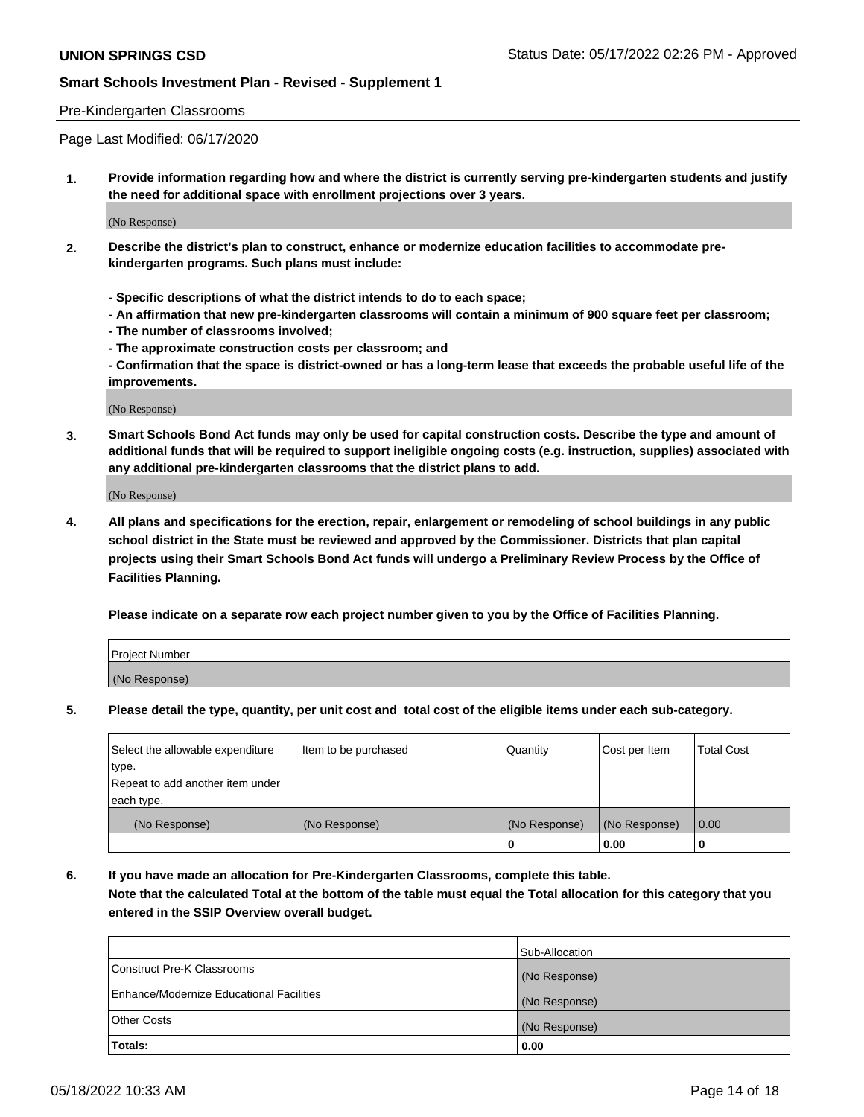#### Pre-Kindergarten Classrooms

Page Last Modified: 06/17/2020

**1. Provide information regarding how and where the district is currently serving pre-kindergarten students and justify the need for additional space with enrollment projections over 3 years.**

(No Response)

- **2. Describe the district's plan to construct, enhance or modernize education facilities to accommodate prekindergarten programs. Such plans must include:**
	- **Specific descriptions of what the district intends to do to each space;**
	- **An affirmation that new pre-kindergarten classrooms will contain a minimum of 900 square feet per classroom;**
	- **The number of classrooms involved;**
	- **The approximate construction costs per classroom; and**
	- **Confirmation that the space is district-owned or has a long-term lease that exceeds the probable useful life of the improvements.**

(No Response)

**3. Smart Schools Bond Act funds may only be used for capital construction costs. Describe the type and amount of additional funds that will be required to support ineligible ongoing costs (e.g. instruction, supplies) associated with any additional pre-kindergarten classrooms that the district plans to add.**

(No Response)

**4. All plans and specifications for the erection, repair, enlargement or remodeling of school buildings in any public school district in the State must be reviewed and approved by the Commissioner. Districts that plan capital projects using their Smart Schools Bond Act funds will undergo a Preliminary Review Process by the Office of Facilities Planning.**

**Please indicate on a separate row each project number given to you by the Office of Facilities Planning.**

| Project Number |  |
|----------------|--|
| (No Response)  |  |

**5. Please detail the type, quantity, per unit cost and total cost of the eligible items under each sub-category.**

| Select the allowable expenditure          | Item to be purchased | Quantity      | Cost per Item | <b>Total Cost</b> |
|-------------------------------------------|----------------------|---------------|---------------|-------------------|
| type.<br>Repeat to add another item under |                      |               |               |                   |
| each type.                                |                      |               |               |                   |
| (No Response)                             | (No Response)        | (No Response) | (No Response) | 0.00              |
|                                           |                      | o             | 0.00          |                   |

**6. If you have made an allocation for Pre-Kindergarten Classrooms, complete this table.**

**Note that the calculated Total at the bottom of the table must equal the Total allocation for this category that you entered in the SSIP Overview overall budget.**

|                                          | Sub-Allocation |
|------------------------------------------|----------------|
| Construct Pre-K Classrooms               | (No Response)  |
| Enhance/Modernize Educational Facilities | (No Response)  |
| <b>Other Costs</b>                       | (No Response)  |
| Totals:                                  | 0.00           |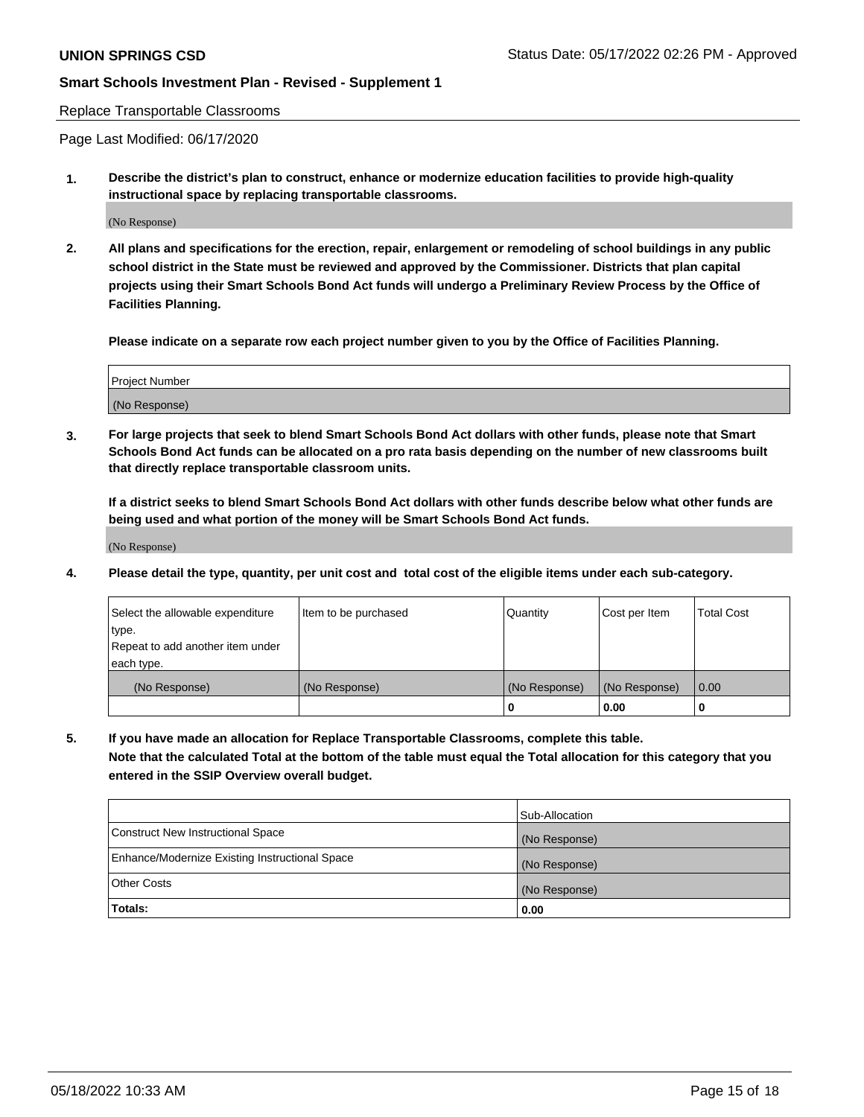#### Replace Transportable Classrooms

Page Last Modified: 06/17/2020

**1. Describe the district's plan to construct, enhance or modernize education facilities to provide high-quality instructional space by replacing transportable classrooms.**

(No Response)

**2. All plans and specifications for the erection, repair, enlargement or remodeling of school buildings in any public school district in the State must be reviewed and approved by the Commissioner. Districts that plan capital projects using their Smart Schools Bond Act funds will undergo a Preliminary Review Process by the Office of Facilities Planning.**

**Please indicate on a separate row each project number given to you by the Office of Facilities Planning.**

| <b>Project Number</b> |  |
|-----------------------|--|
| (No Response)         |  |

**3. For large projects that seek to blend Smart Schools Bond Act dollars with other funds, please note that Smart Schools Bond Act funds can be allocated on a pro rata basis depending on the number of new classrooms built that directly replace transportable classroom units.**

**If a district seeks to blend Smart Schools Bond Act dollars with other funds describe below what other funds are being used and what portion of the money will be Smart Schools Bond Act funds.**

(No Response)

**4. Please detail the type, quantity, per unit cost and total cost of the eligible items under each sub-category.**

| Select the allowable expenditure | Item to be purchased | Quantity      | Cost per Item | <b>Total Cost</b> |
|----------------------------------|----------------------|---------------|---------------|-------------------|
| type.                            |                      |               |               |                   |
| Repeat to add another item under |                      |               |               |                   |
| each type.                       |                      |               |               |                   |
| (No Response)                    | (No Response)        | (No Response) | (No Response) | 0.00              |
|                                  |                      | U             | 0.00          |                   |

**5. If you have made an allocation for Replace Transportable Classrooms, complete this table.**

**Note that the calculated Total at the bottom of the table must equal the Total allocation for this category that you entered in the SSIP Overview overall budget.**

|                                                | Sub-Allocation |
|------------------------------------------------|----------------|
| Construct New Instructional Space              | (No Response)  |
| Enhance/Modernize Existing Instructional Space | (No Response)  |
| <b>Other Costs</b>                             | (No Response)  |
| Totals:                                        | 0.00           |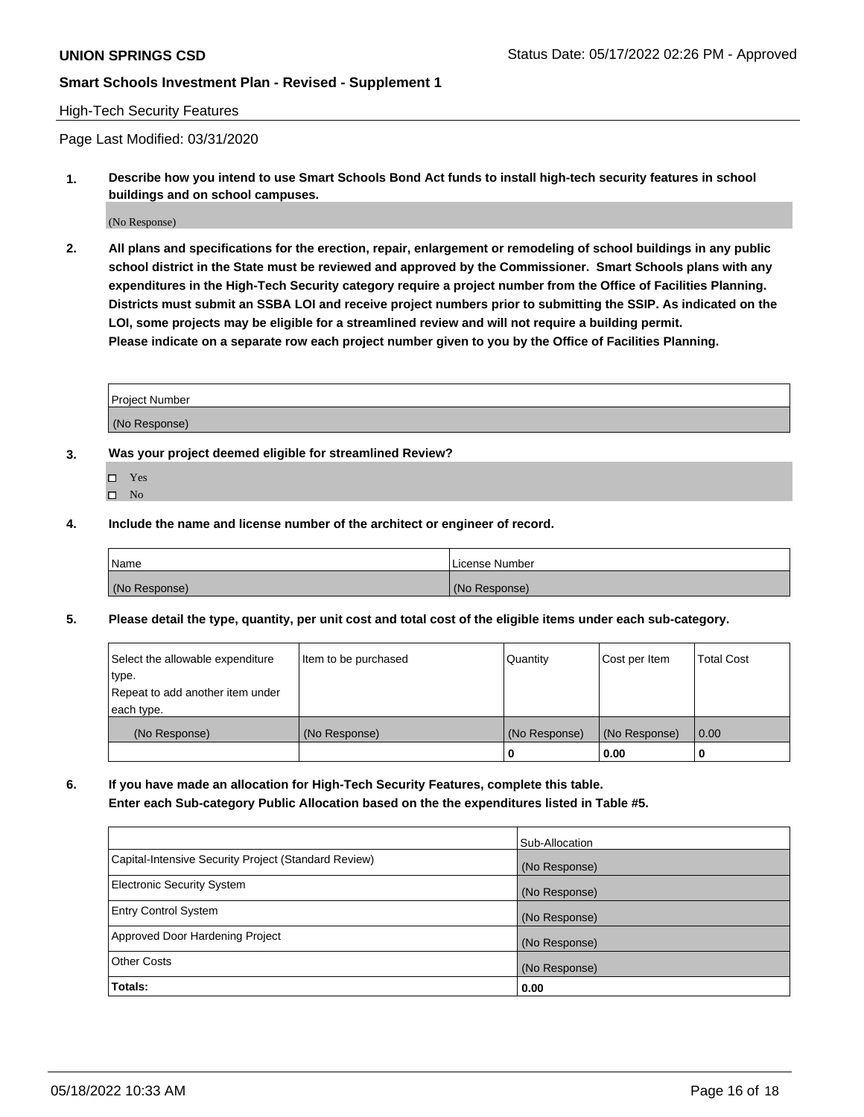#### High-Tech Security Features

Page Last Modified: 03/31/2020

**1. Describe how you intend to use Smart Schools Bond Act funds to install high-tech security features in school buildings and on school campuses.**

(No Response)

**2. All plans and specifications for the erection, repair, enlargement or remodeling of school buildings in any public school district in the State must be reviewed and approved by the Commissioner. Smart Schools plans with any expenditures in the High-Tech Security category require a project number from the Office of Facilities Planning. Districts must submit an SSBA LOI and receive project numbers prior to submitting the SSIP. As indicated on the LOI, some projects may be eligible for a streamlined review and will not require a building permit. Please indicate on a separate row each project number given to you by the Office of Facilities Planning.**

| Project Number |  |
|----------------|--|
| (No Response)  |  |

- **3. Was your project deemed eligible for streamlined Review?**
	- Yes
	- $\square$  No
- **4. Include the name and license number of the architect or engineer of record.**

| Name          | License Number |
|---------------|----------------|
| (No Response) | (No Response)  |

**5. Please detail the type, quantity, per unit cost and total cost of the eligible items under each sub-category.**

| Select the allowable expenditure<br>type.<br>Repeat to add another item under | Item to be purchased | Quantity      | Cost per Item | <b>Total Cost</b> |
|-------------------------------------------------------------------------------|----------------------|---------------|---------------|-------------------|
| each type.                                                                    |                      |               |               |                   |
| (No Response)                                                                 | (No Response)        | (No Response) | (No Response) | 0.00              |
|                                                                               |                      | 0             | 0.00          | -0                |

**6. If you have made an allocation for High-Tech Security Features, complete this table. Enter each Sub-category Public Allocation based on the the expenditures listed in Table #5.**

|                                                      | Sub-Allocation |
|------------------------------------------------------|----------------|
| Capital-Intensive Security Project (Standard Review) | (No Response)  |
| Electronic Security System                           | (No Response)  |
| <b>Entry Control System</b>                          | (No Response)  |
| Approved Door Hardening Project                      | (No Response)  |
| <b>Other Costs</b>                                   | (No Response)  |
| Totals:                                              | 0.00           |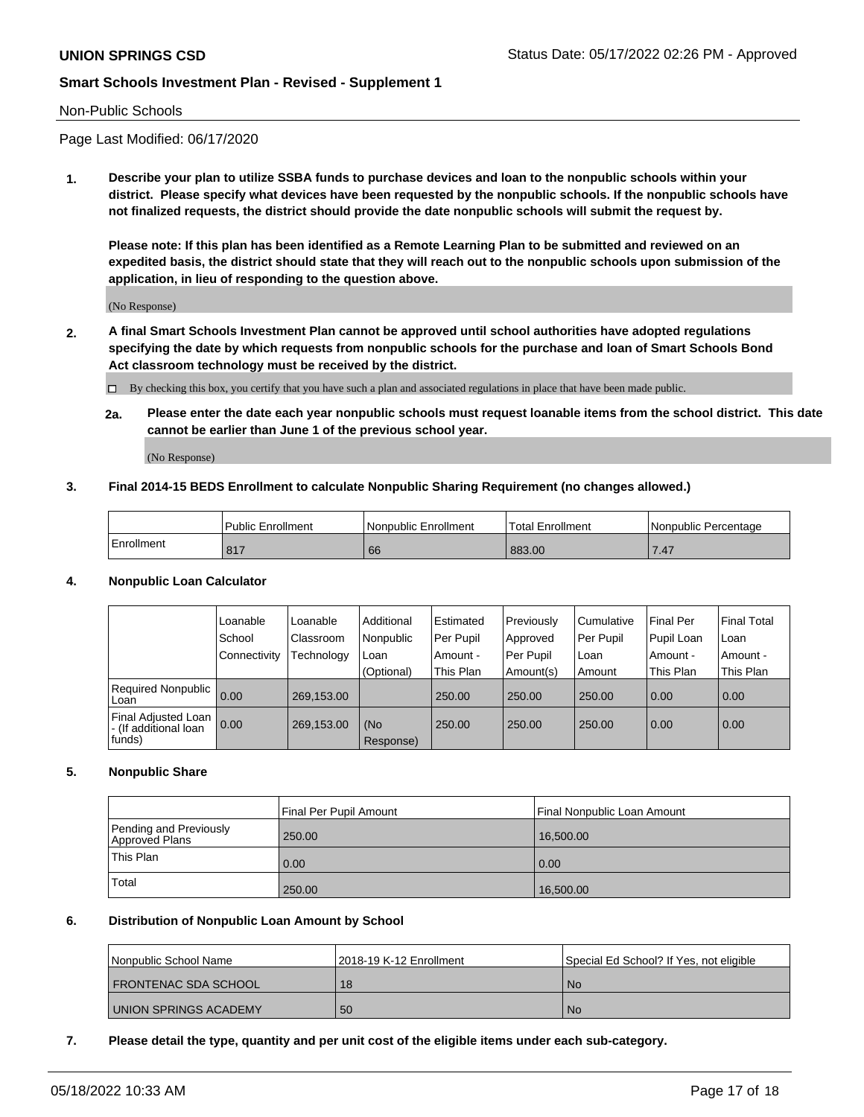#### Non-Public Schools

Page Last Modified: 06/17/2020

**1. Describe your plan to utilize SSBA funds to purchase devices and loan to the nonpublic schools within your district. Please specify what devices have been requested by the nonpublic schools. If the nonpublic schools have not finalized requests, the district should provide the date nonpublic schools will submit the request by.**

**Please note: If this plan has been identified as a Remote Learning Plan to be submitted and reviewed on an expedited basis, the district should state that they will reach out to the nonpublic schools upon submission of the application, in lieu of responding to the question above.**

(No Response)

- **2. A final Smart Schools Investment Plan cannot be approved until school authorities have adopted regulations specifying the date by which requests from nonpublic schools for the purchase and loan of Smart Schools Bond Act classroom technology must be received by the district.**
	- By checking this box, you certify that you have such a plan and associated regulations in place that have been made public.
	- **2a. Please enter the date each year nonpublic schools must request loanable items from the school district. This date cannot be earlier than June 1 of the previous school year.**

(No Response)

#### **3. Final 2014-15 BEDS Enrollment to calculate Nonpublic Sharing Requirement (no changes allowed.)**

|            | <b>Public Enrollment</b> | l Nonpublic Enrollment | <b>Total Enrollment</b> | l Nonpublic Percentage |
|------------|--------------------------|------------------------|-------------------------|------------------------|
| Enrollment | 047<br>011               | 66                     | 883.00                  | 1.41                   |

#### **4. Nonpublic Loan Calculator**

|                                                        | Loanable     | Loanable   | Additional       | Estimated | Previously | l Cumulative | <b>Final Per</b> | <b>Final Total</b> |
|--------------------------------------------------------|--------------|------------|------------------|-----------|------------|--------------|------------------|--------------------|
|                                                        | School       | Classroom  | Nonpublic        | Per Pupil | Approved   | Per Pupil    | Pupil Loan       | ∣Loan              |
|                                                        | Connectivity | Technology | Loan             | Amount -  | Per Pupil  | l Loan       | Amount -         | Amount -           |
|                                                        |              |            | (Optional)       | This Plan | Amount(s)  | Amount       | This Plan        | This Plan          |
| <b>Required Nonpublic</b><br>Loan                      | 0.00         | 269,153.00 |                  | 250.00    | 250.00     | 250.00       | 0.00             | 0.00               |
| Final Adjusted Loan<br>- (If additional loan<br>funds) | 0.00         | 269,153.00 | (No<br>Response) | 250.00    | 250.00     | 250.00       | 0.00             | 0.00               |

#### **5. Nonpublic Share**

|                                          | Final Per Pupil Amount | Final Nonpublic Loan Amount |
|------------------------------------------|------------------------|-----------------------------|
| Pending and Previously<br>Approved Plans | 250.00                 | 16,500.00                   |
| This Plan                                | 0.00                   | 0.00                        |
| Total                                    | 250.00                 | 16,500.00                   |

#### **6. Distribution of Nonpublic Loan Amount by School**

| Nonpublic School Name | 12018-19 K-12 Enrollment | Special Ed School? If Yes, not eligible |
|-----------------------|--------------------------|-----------------------------------------|
| FRONTENAC SDA SCHOOL  | 18                       | No.                                     |
| UNION SPRINGS ACADEMY | 50                       | No.                                     |

#### **7. Please detail the type, quantity and per unit cost of the eligible items under each sub-category.**